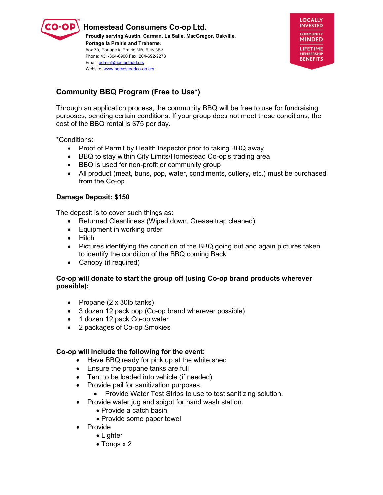

**Homestead Consumers Co-op Ltd. Proudly serving Austin, Carman, La Salle, MacGregor, Oakville, Portage la Prairie and Treherne.**  Box 70, Portage la Prairie MB, R1N 3B3 Phone: 431-304-6900 Fax: 204-692-2273 Email[: admin@homestead.crs](mailto:admin@homestead.crs)  Website: www.homesteadco-op.crs



# **Community BBQ Program (Free to Use\*)**

Through an application process, the community BBQ will be free to use for fundraising purposes, pending certain conditions. If your group does not meet these conditions, the cost of the BBQ rental is \$75 per day.

\*Conditions:

- Proof of Permit by Health Inspector prior to taking BBQ away
- BBQ to stay within City Limits/Homestead Co-op's trading area
- BBQ is used for non-profit or community group
- All product (meat, buns, pop, water, condiments, cutlery, etc.) must be purchased from the Co-op

## **Damage Deposit: \$150**

The deposit is to cover such things as:

- Returned Cleanliness (Wiped down, Grease trap cleaned)
- Equipment in working order
- Hitch
- Pictures identifying the condition of the BBQ going out and again pictures taken to identify the condition of the BBQ coming Back
- Canopy (if required)

### **Co-op will donate to start the group off (using Co-op brand products wherever possible):**

- Propane (2 x 30lb tanks)
- 3 dozen 12 pack pop (Co-op brand wherever possible)
- 1 dozen 12 pack Co-op water
- 2 packages of Co-op Smokies

### **Co-op will include the following for the event:**

- Have BBQ ready for pick up at the white shed
- Ensure the propane tanks are full
- Tent to be loaded into vehicle (if needed)
- Provide pail for sanitization purposes.
	- Provide Water Test Strips to use to test sanitizing solution.
- Provide water jug and spigot for hand wash station.
	- Provide a catch basin
		- Provide some paper towel
- Provide
	- Lighter
	- Tongs x 2